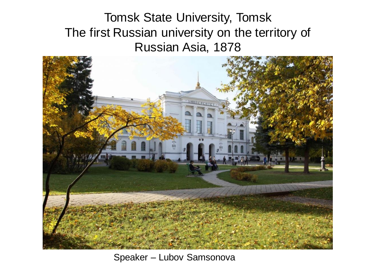Tomsk State University, Tomsk The first Russian university on the territory of Russian Asia, 1878



Speaker – Lubov Samsonova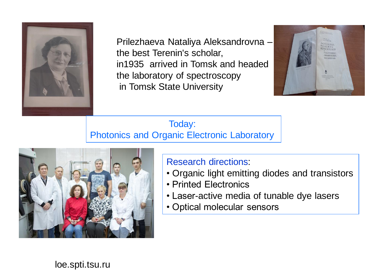

Prilezhaeva Nataliya Aleksandrovna – the best Terenin's scholar, in1935 arrived in Tomsk and headed the laboratory of spectroscopy in Tomsk State University



Today: Photonics and Organic Electronic Laboratory



## Research directions:

- Organic light emitting diodes and transistors
- Printed Electronics
- Laser-active media of tunable dye lasers
- Optical molecular sensors

loe.spti.tsu.ru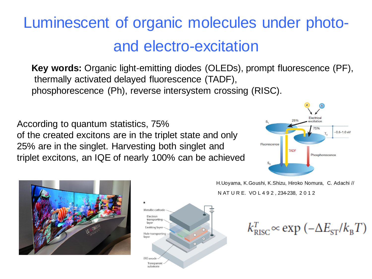## Luminescent of organic molecules under photoand electro-excitation

**Key words:** Organic light-emitting diodes (OLEDs), prompt fluorescence (PF), thermally activated delayed fluorescence (TADF), phosphorescence (Ph), reverse intersystem crossing (RISC).

According to quantum statistics, 75% of the created excitons are in the triplet state and only 25% are in the singlet. Harvesting both singlet and triplet excitons, an IQE of nearly 100% can be achieved







H.Uoyama, K.Goushi, K.Shizu, Hiroko Nomura, C. Adachi // N AT U R E. VO L 4 9 2 , 234-238, 2 0 1 2

 $k_{\text{RISC}}^T \propto \exp(-\Delta E_{\text{ST}}/k_{\text{R}}T)$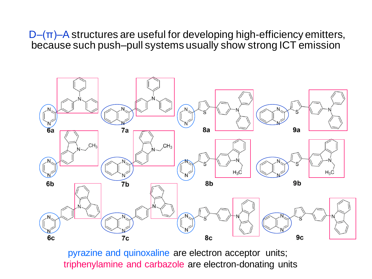$D$ – $(\pi)$ –A structures are useful for developing high-efficiency emitters, because such push–pull systems usually show strong ICT emission



pyrazine and quinoxaline are electron acceptor units; triphenylamine and carbazole are electron-donating units